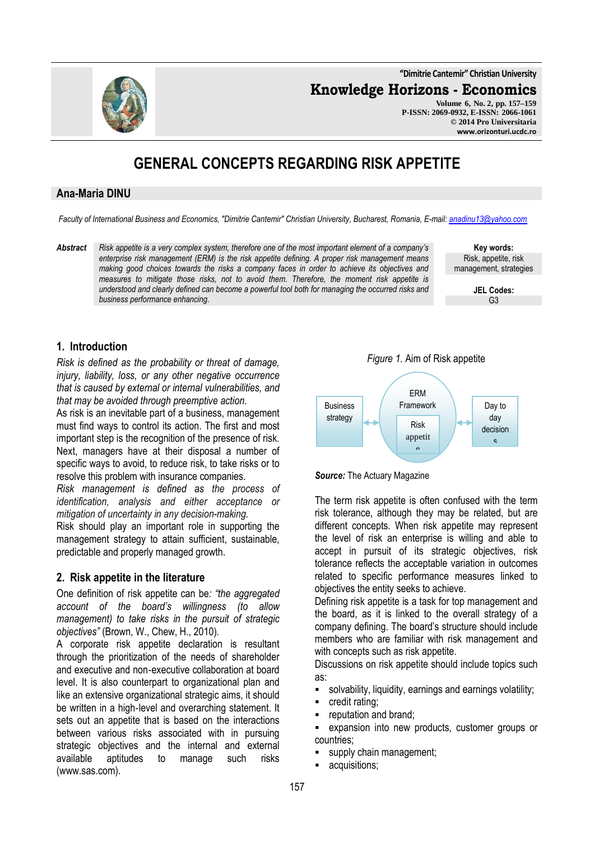**"Dimitrie Cantemir" Christian University**

**Knowledge Horizons - Economics**

**Volume 6, No. 2, pp. 157–159 P-ISSN: 2069-0932, E-ISSN: 2066-1061 © 2014 Pro Universitaria www.orizonturi.ucdc.ro**

# **GENERAL CONCEPTS REGARDING RISK APPETITE**

#### **Ana-Maria DINU**

*Faculty of International Business and Economics, "Dimitrie Cantemir" Christian University, Bucharest, Romania, E-mail: anadinu13@yahoo.com*

*Abstract Risk appetite is a very complex system, therefore one of the most important element of a company's enterprise risk management (ERM) is the risk appetite defining. A proper risk management means making good choices towards the risks a company faces in order to achieve its objectives and measures to mitigate those risks, not to avoid them. Therefore, the moment risk appetite is understood and clearly defined can become a powerful tool both for managing the occurred risks and business performance enhancing.*

**Key words:** Risk, appetite, risk management, strategies

> **JEL Codes:** G3

## **1. Introduction**

*Risk is defined as the probability or threat of damage, injury, liability, loss, or any other negative occurrence that is caused by external or internal vulnerabilities, and that may be avoided through preemptive action.*

As risk is an inevitable part of a business, management must find ways to control its action. The first and most important step is the recognition of the presence of risk. Next, managers have at their disposal a number of specific ways to avoid, to reduce risk, to take risks or to resolve this problem with insurance companies.

*Risk management is defined as the process of identification, analysis and either acceptance or mitigation of uncertainty in any decision-making.*

Risk should play an important role in supporting the management strategy to attain sufficient, sustainable, predictable and properly managed growth.

# **2. Risk appetite in the literature**

One definition of risk appetite can be*: "the aggregated account of the board's willingness (to allow management) to take risks in the pursuit of strategic objectives"* (Brown, W., Chew, H., 2010)*.*

A corporate risk appetite declaration is resultant through the prioritization of the needs of shareholder and executive and non‐executive collaboration at board level. It is also counterpart to organizational plan and like an extensive organizational strategic aims, it should be written in a high‐level and overarching statement. It sets out an appetite that is based on the interactions between various risks associated with in pursuing strategic objectives and the internal and external available aptitudes to manage such risks (www.sas.com).

*Figure 1.* Aim of Risk appetite





The term risk appetite is often confused with the term risk tolerance, although they may be related, but are different concepts. When risk appetite may represent the level of risk an enterprise is willing and able to accept in pursuit of its strategic objectives, risk tolerance reflects the acceptable variation in outcomes related to specific performance measures linked to objectives the entity seeks to achieve.

Defining risk appetite is a task for top management and the board, as it is linked to the overall strategy of a company defining. The board's structure should include members who are familiar with risk management and with concepts such as risk appetite.

Discussions on risk appetite should include topics such as:

- solvability, liquidity, earnings and earnings volatility;
- credit rating;
- reputation and brand;
- expansion into new products, customer groups or countries;
- supply chain management;
- acquisitions;

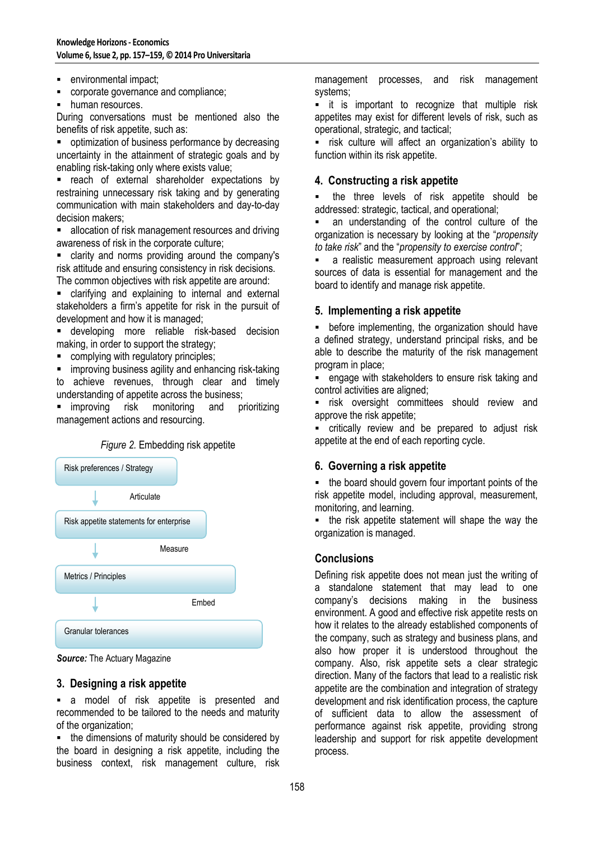- **EXECUTE:** environmental impact;
- corporate governance and compliance;
- human resources.

During conversations must be mentioned also the benefits of risk appetite, such as:

**•** optimization of business performance by decreasing uncertainty in the attainment of strategic goals and by enabling risk-taking only where exists value;

 reach of external shareholder expectations by restraining unnecessary risk taking and by generating communication with main stakeholders and day-to-day decision makers;

 allocation of risk management resources and driving awareness of risk in the corporate culture;

 clarity and norms providing around the company's risk attitude and ensuring consistency in risk decisions. The common objectives with risk appetite are around:

 clarifying and explaining to internal and external stakeholders a firm's appetite for risk in the pursuit of development and how it is managed;

 developing more reliable risk-based decision making, in order to support the strategy;

complying with regulatory principles;

improving business agility and enhancing risk-taking

to achieve revenues, through clear and timely understanding of appetite across the business;

**E** improving risk monitoring and prioritizing management actions and resourcing.



*Source:* The Actuary Magazine

#### **3. Designing a risk appetite**

 a model of risk appetite is presented and recommended to be tailored to the needs and maturity of the organization;

• the dimensions of maturity should be considered by the board in designing a risk appetite, including the business context, risk management culture, risk management processes, and risk management systems;

**E** it is important to recognize that multiple risk appetites may exist for different levels of risk, such as operational, strategic, and tactical;

 risk culture will affect an organization's ability to function within its risk appetite.

## **4. Constructing a risk appetite**

 the three levels of risk appetite should be addressed: strategic, tactical, and operational;

 an understanding of the control culture of the organization is necessary by looking at the "*propensity to take risk*" and the "*propensity to exercise control*";

**a** realistic measurement approach using relevant sources of data is essential for management and the board to identify and manage risk appetite.

## **5. Implementing a risk appetite**

**EXECT** before implementing, the organization should have a defined strategy, understand principal risks, and be able to describe the maturity of the risk management program in place;

 engage with stakeholders to ensure risk taking and control activities are aligned;

**Fig.** risk oversight committees should review and approve the risk appetite;

 critically review and be prepared to adjust risk appetite at the end of each reporting cycle.

#### **6. Governing a risk appetite**

• the board should govern four important points of the risk appetite model, including approval, measurement, monitoring, and learning.

 the risk appetite statement will shape the way the organization is managed.

# **Conclusions**

Defining risk appetite does not mean just the writing of a standalone statement that may lead to one company's decisions making in the business environment. A good and effective risk appetite rests on how it relates to the already established components of the company, such as strategy and business plans, and also how proper it is understood throughout the company. Also, risk appetite sets a clear strategic direction. Many of the factors that lead to a realistic risk appetite are the combination and integration of strategy development and risk identification process, the capture of sufficient data to allow the assessment of performance against risk appetite, providing strong leadership and support for risk appetite development process.